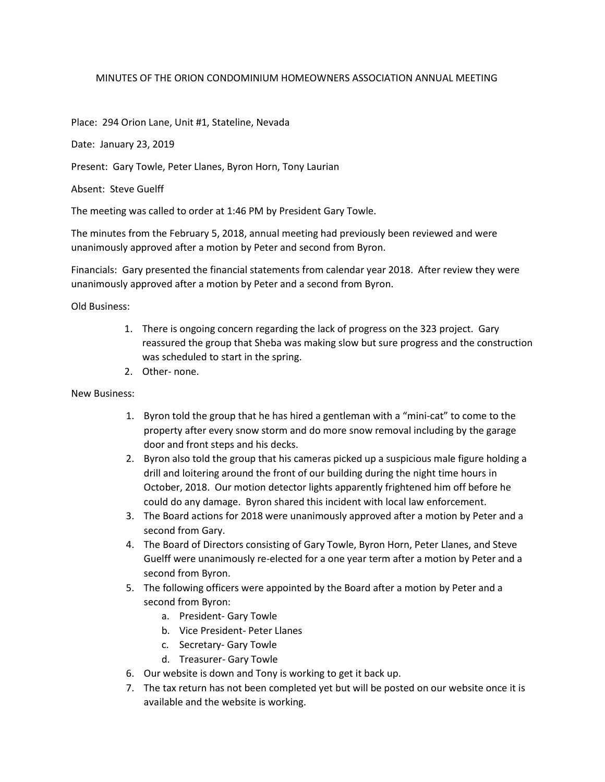## MINUTES OF THE ORION CONDOMINIUM HOMEOWNERS ASSOCIATION ANNUAL MEETING

## Place: 294 Orion Lane, Unit #1, Stateline, Nevada

Date: January 23, 2019

Present: Gary Towle, Peter Llanes, Byron Horn, Tony Laurian

Absent: Steve Guelff

The meeting was called to order at 1:46 PM by President Gary Towle.

The minutes from the February 5, 2018, annual meeting had previously been reviewed and were unanimously approved after a motion by Peter and second from Byron.

Financials: Gary presented the financial statements from calendar year 2018. After review they were unanimously approved after a motion by Peter and a second from Byron.

Old Business:

- 1. There is ongoing concern regarding the lack of progress on the 323 project. Gary reassured the group that Sheba was making slow but sure progress and the construction was scheduled to start in the spring.
- 2. Other- none.

## New Business:

- 1. Byron told the group that he has hired a gentleman with a "mini-cat" to come to the property after every snow storm and do more snow removal including by the garage door and front steps and his decks.
- 2. Byron also told the group that his cameras picked up a suspicious male figure holding a drill and loitering around the front of our building during the night time hours in October, 2018. Our motion detector lights apparently frightened him off before he could do any damage. Byron shared this incident with local law enforcement.
- 3. The Board actions for 2018 were unanimously approved after a motion by Peter and a second from Gary.
- 4. The Board of Directors consisting of Gary Towle, Byron Horn, Peter Llanes, and Steve Guelff were unanimously re-elected for a one year term after a motion by Peter and a second from Byron.
- 5. The following officers were appointed by the Board after a motion by Peter and a second from Byron:
	- a. President- Gary Towle
	- b. Vice President- Peter Llanes
	- c. Secretary- Gary Towle
	- d. Treasurer- Gary Towle
- 6. Our website is down and Tony is working to get it back up.
- 7. The tax return has not been completed yet but will be posted on our website once it is available and the website is working.